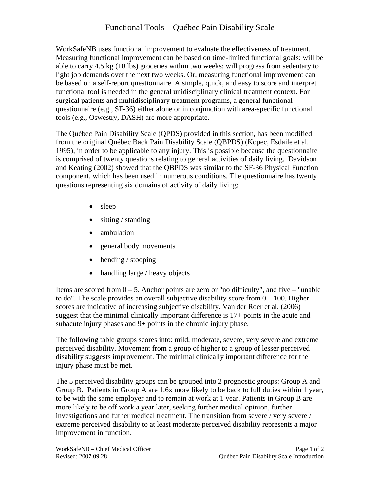WorkSafeNB uses functional improvement to evaluate the effectiveness of treatment. Measuring functional improvement can be based on time-limited functional goals: will be able to carry 4.5 kg (10 lbs) groceries within two weeks; will progress from sedentary to light job demands over the next two weeks. Or, measuring functional improvement can be based on a self-report questionnaire. A simple, quick, and easy to score and interpret functional tool is needed in the general unidisciplinary clinical treatment context. For surgical patients and multidisciplinary treatment programs, a general functional questionnaire (e.g., SF-36) either alone or in conjunction with area-specific functional tools (e.g., Oswestry, DASH) are more appropriate.

The Québec Pain Disability Scale (QPDS) provided in this section, has been modified from the original Québec Back Pain Disability Scale (QBPDS) (Kopec, Esdaile et al. 1995), in order to be applicable to any injury. This is possible because the questionnaire is comprised of twenty questions relating to general activities of daily living. Davidson and Keating (2002) showed that the QBPDS was similar to the SF-36 Physical Function component, which has been used in numerous conditions. The questionnaire has twenty questions representing six domains of activity of daily living:

- sleep
- sitting / standing
- ambulation
- general body movements
- bending / stooping
- handling large / heavy objects

Items are scored from  $0 - 5$ . Anchor points are zero or "no difficulty", and five – "unable" to do". The scale provides an overall subjective disability score from  $0 - 100$ . Higher scores are indicative of increasing subjective disability. Van der Roer et al. (2006) suggest that the minimal clinically important difference is 17+ points in the acute and subacute injury phases and 9+ points in the chronic injury phase.

The following table groups scores into: mild, moderate, severe, very severe and extreme perceived disability. Movement from a group of higher to a group of lesser perceived disability suggests improvement. The minimal clinically important difference for the injury phase must be met.

The 5 perceived disability groups can be grouped into 2 prognostic groups: Group A and Group B. Patients in Group A are 1.6x more likely to be back to full duties within 1 year, to be with the same employer and to remain at work at 1 year. Patients in Group B are more likely to be off work a year later, seeking further medical opinion, further investigations and futher medical treatment. The transition from severe / very severe / extreme perceived disability to at least moderate perceived disability represents a major improvement in function.